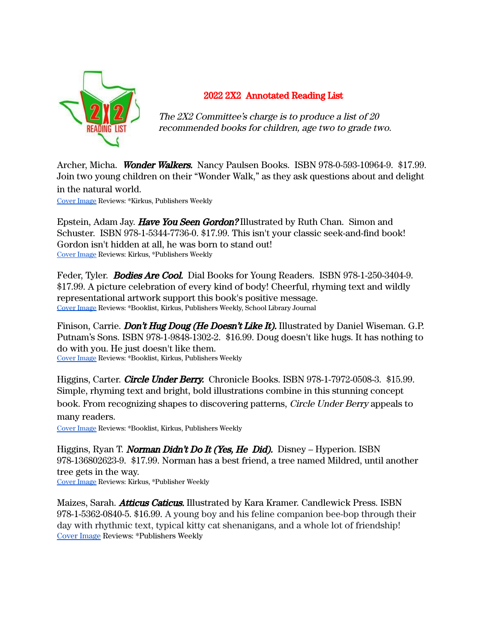

## 2022 2X2 Annotated Reading List

The 2X2 Committee's charge is to produce a list of 20 recommended books for children, age two to grade two.

Archer, Micha. Wonder Walkers. Nancy Paulsen Books. ISBN 978-0-593-10964-9. \$17.99. Join two young children on their "Wonder Walk," as they ask questions about and delight in the natural world.

Cover [Image](https://www.penguinrandomhouse.com/books/623731/wonder-walkers-by-micha-archer/) Reviews: \*Kirkus, Publishers Weekly

Epstein, Adam Jay. **Have You Seen Gordon?** Illustrated by Ruth Chan. Simon and Schuster. ISBN 978-1-5344-7736-0. \$17.99. This isn't your classic seek-and-find book! Gordon isn't hidden at all, he was born to stand out! Cover [Image](https://www.simonandschuster.com/books/Have-You-Seen-Gordon/Adam-Jay-Epstein/9781534477360) Reviews: Kirkus, \*Publishers Weekly

Feder, Tyler. **Bodies Are Cool.** Dial Books for Young Readers. ISBN 978-1-250-3404-9. \$17.99. A picture celebration of every kind of body! Cheerful, rhyming text and wildly representational artwork support this book's positive message. Cover [Image](https://www.penguinrandomhouse.com/books/647974/bodies-are-cool-by-tyler-feder/) Reviews: \*Booklist, Kirkus, Publishers Weekly, School Library Journal

Finison, Carrie. Don't Hug Doug (He Doesn't Like It). Illustrated by Daniel Wiseman. G.P. Putnam's Sons. ISBN 978-1-9848-1302-2. \$16.99. Doug doesn't like hugs. It has nothing to do with you. He just doesn't like them. Cover [Image](https://www.penguinrandomhouse.com/books/602038/dont-hug-doug-by-carrie-finison-illustrated-by-daniel-wiseman/) Reviews: \*Booklist, Kirkus, Publishers Weekly

Higgins, Carter. *Circle Under Berry.* Chronicle Books. ISBN 978-1-7972-0508-3. \$15.99. Simple, rhyming text and bright, bold illustrations combine in this stunning concept book. From recognizing shapes to discovering patterns, Circle Under Berry appeals to many readers.

Cover [Image](https://www.chroniclebooks.com/products/circle-under-berry) Reviews: \*Booklist, Kirkus, Publishers Weekly

Higgins, Ryan T. Norman Didn't Do It (Yes, He Did). Disney – Hyperion. ISBN 978-136802623-9. \$17.99. Norman has a best friend, a tree named Mildred, until another tree gets in the way. Cover [Image](https://books.disney.com/book/norman-didnt-do-it/) Reviews: Kirkus, \*Publisher Weekly

Maizes, Sarah. *Atticus Caticus.* Illustrated by Kara Kramer. Candlewick Press. ISBN 978-1-5362-0840-5. \$16.99. A young boy and his feline companion bee-bop through their day with rhythmic text, typical kitty cat shenanigans, and a whole lot of friendship! Cover [Image](https://www.candlewick.com/cat.asp?browse=title&mode=book&isbn=153620840X) Reviews: \*Publishers Weekly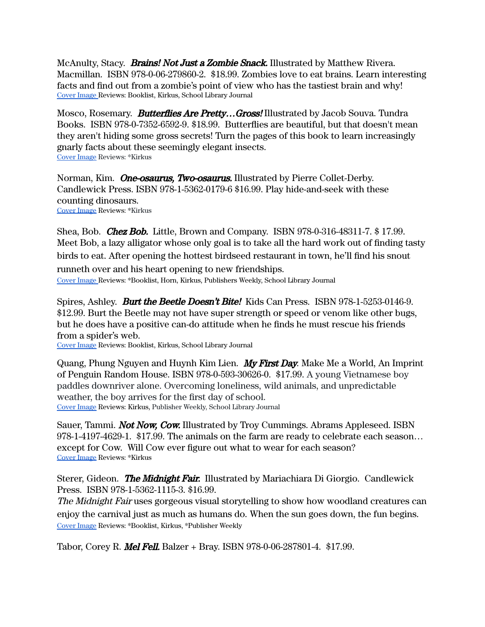McAnulty, Stacy. **Brains! Not Just a Zombie Snack.** Illustrated by Matthew Rivera. Macmillan. ISBN 978-0-06-279860-2. \$18.99. Zombies love to eat brains. Learn interesting facts and find out from a zombie's point of view who has the tastiest brain and why! Cover [Image](https://us.macmillan.com/books/9781250304049/brains-not-just-a-zombie-snack) Reviews: Booklist, Kirkus, School Library Journal

Mosco, Rosemary. **Butterflies Are Pretty...Gross!** Illustrated by Jacob Souva. Tundra Books. ISBN 978-0-7352-6592-9. \$18.99. Butterflies are beautiful, but that doesn't mean they aren't hiding some gross secrets! Turn the pages of this book to learn increasingly gnarly facts about these seemingly elegant insects. Cover [Image](https://www.penguinrandomhouse.com/books/603642/butterflies-are-pretty--gross-by-rosemary-mosco-illustrated-by-jacob-souva/) Reviews: \*Kirkus

Norman, Kim. One-osaurus, Two-osaurus. Illustrated by Pierre Collet-Derby. Candlewick Press. ISBN 978-1-5362-0179-6 \$16.99. Play hide-and-seek with these counting dinosaurs. Cover [Image](https://www.candlewick.com/cat.asp?browse=title&mode=book&isbn=1536201790) Reviews: \*Kirkus

Shea, Bob. Chez Bob. Little, Brown and Company. ISBN 978-0-316-48311-7. \$ 17.99. Meet Bob, a lazy alligator whose only goal is to take all the hard work out of finding tasty birds to eat. After opening the hottest birdseed restaurant in town, he'll find his snout runneth over and his heart opening to new friendships.

Cover [Image](https://www.lbyr.com/titles/bob-shea/chez-bob/9780316483117/) Reviews: \*Booklist, Horn, Kirkus, Publishers Weekly, School Library Journal

Spires, Ashley. Burt the Beetle Doesn't Bite! Kids Can Press. ISBN 978-1-5253-0146-9. \$12.99. Burt the Beetle may not have super strength or speed or venom like other bugs, but he does have a positive can-do attitude when he finds he must rescue his friends from a spider's web.

Cover [Image](https://www.kidscanpress.com/products/burt-beetle-doesnt-bite) Reviews: Booklist, Kirkus, School Library Journal

Quang, Phung Nguyen and Huynh Kim Lien. My First Day. Make Me a World, An Imprint of Penguin Random House. ISBN 978-0-593-30626-0. \$17.99. A young Vietnamese boy paddles downriver alone. Overcoming loneliness, wild animals, and unpredictable weather, the boy arrives for the first day of school. Cover [Image](https://www.rhcbooks.com/books/653290/my-first-day) Reviews: Kirkus, Publisher Weekly, School Library Journal

Sauer, Tammi. *Not Now, Cow.* Illustrated by Troy Cummings. Abrams Appleseed. ISBN 978-1-4197-4629-1. \$17.99. The animals on the farm are ready to celebrate each season… except for Cow. Will Cow ever figure out what to wear for each season? Cover [Image](https://www.abramsbooks.com/product/not-now-cow_9781419746291/) Reviews: \*Kirkus

Sterer, Gideon. The Midnight Fair. Illustrated by Mariachiara Di Giorgio. Candlewick Press. ISBN 978-1-5362-1115-3. \$16.99.

The Midnight Fair uses gorgeous visual storytelling to show how woodland creatures can enjoy the carnival just as much as humans do. When the sun goes down, the fun begins. Cover [Image](https://www.candlewick.com/cat.asp?browse=title&mode=book&isbn=153621115X) Reviews: \*Booklist, Kirkus, \*Publisher Weekly

Tabor, Corey R. *Mel Fell.* Balzer + Bray. ISBN 978-0-06-287801-4. \$17.99.